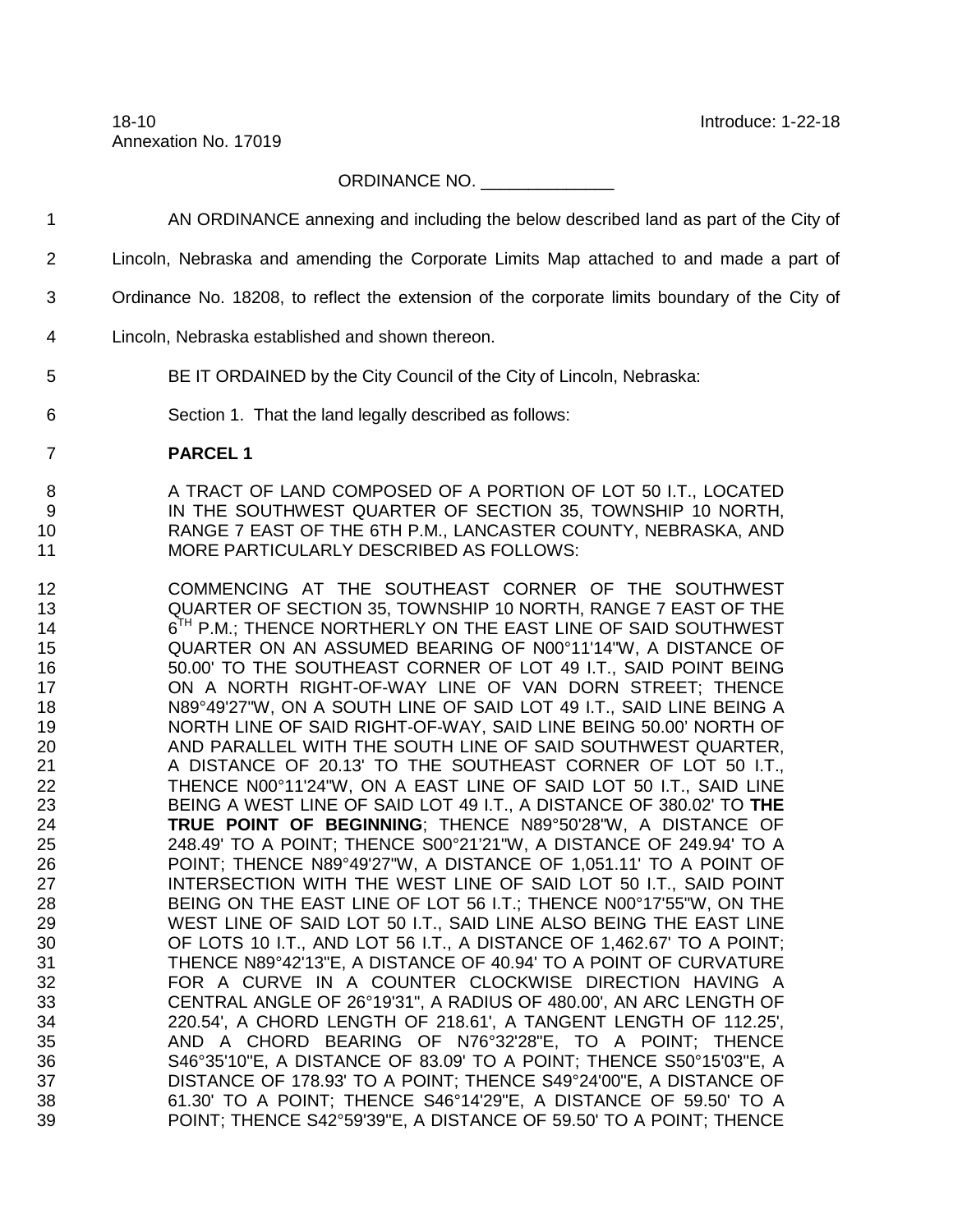18-10 **Introduce: 1-22-18** Annexation No. 17019

## ORDINANCE NO. \_\_\_\_\_\_\_\_\_\_\_\_\_\_

AN ORDINANCE annexing and including the below described land as part of the City of

| $\overline{2}$                                                                                                                                                       | Lincoln, Nebraska and amending the Corporate Limits Map attached to and made a part of                                                                                                                                                                                                                                                                                                                                                                                                                                                                                                                                                                                                                                                                                                                                                                                                                                                                                                                                                                                                                                                                                                                                                                                                                                                                                                                                                                                                                                                                                                                                                                                                                                                                                                                                                                                                                                                   |
|----------------------------------------------------------------------------------------------------------------------------------------------------------------------|------------------------------------------------------------------------------------------------------------------------------------------------------------------------------------------------------------------------------------------------------------------------------------------------------------------------------------------------------------------------------------------------------------------------------------------------------------------------------------------------------------------------------------------------------------------------------------------------------------------------------------------------------------------------------------------------------------------------------------------------------------------------------------------------------------------------------------------------------------------------------------------------------------------------------------------------------------------------------------------------------------------------------------------------------------------------------------------------------------------------------------------------------------------------------------------------------------------------------------------------------------------------------------------------------------------------------------------------------------------------------------------------------------------------------------------------------------------------------------------------------------------------------------------------------------------------------------------------------------------------------------------------------------------------------------------------------------------------------------------------------------------------------------------------------------------------------------------------------------------------------------------------------------------------------------------|
| $\mathfrak{S}$                                                                                                                                                       | Ordinance No. 18208, to reflect the extension of the corporate limits boundary of the City of                                                                                                                                                                                                                                                                                                                                                                                                                                                                                                                                                                                                                                                                                                                                                                                                                                                                                                                                                                                                                                                                                                                                                                                                                                                                                                                                                                                                                                                                                                                                                                                                                                                                                                                                                                                                                                            |
| $\overline{4}$                                                                                                                                                       | Lincoln, Nebraska established and shown thereon.                                                                                                                                                                                                                                                                                                                                                                                                                                                                                                                                                                                                                                                                                                                                                                                                                                                                                                                                                                                                                                                                                                                                                                                                                                                                                                                                                                                                                                                                                                                                                                                                                                                                                                                                                                                                                                                                                         |
| 5                                                                                                                                                                    | BE IT ORDAINED by the City Council of the City of Lincoln, Nebraska:                                                                                                                                                                                                                                                                                                                                                                                                                                                                                                                                                                                                                                                                                                                                                                                                                                                                                                                                                                                                                                                                                                                                                                                                                                                                                                                                                                                                                                                                                                                                                                                                                                                                                                                                                                                                                                                                     |
| 6                                                                                                                                                                    | Section 1. That the land legally described as follows:                                                                                                                                                                                                                                                                                                                                                                                                                                                                                                                                                                                                                                                                                                                                                                                                                                                                                                                                                                                                                                                                                                                                                                                                                                                                                                                                                                                                                                                                                                                                                                                                                                                                                                                                                                                                                                                                                   |
| $\overline{7}$                                                                                                                                                       | <b>PARCEL1</b>                                                                                                                                                                                                                                                                                                                                                                                                                                                                                                                                                                                                                                                                                                                                                                                                                                                                                                                                                                                                                                                                                                                                                                                                                                                                                                                                                                                                                                                                                                                                                                                                                                                                                                                                                                                                                                                                                                                           |
| 8<br>$9\,$<br>10<br>11                                                                                                                                               | A TRACT OF LAND COMPOSED OF A PORTION OF LOT 50 I.T., LOCATED<br>IN THE SOUTHWEST QUARTER OF SECTION 35, TOWNSHIP 10 NORTH,<br>RANGE 7 EAST OF THE 6TH P.M., LANCASTER COUNTY, NEBRASKA, AND<br>MORE PARTICULARLY DESCRIBED AS FOLLOWS:                                                                                                                                                                                                                                                                                                                                                                                                                                                                                                                                                                                                                                                                                                                                                                                                                                                                                                                                                                                                                                                                                                                                                                                                                                                                                                                                                                                                                                                                                                                                                                                                                                                                                                  |
| 12<br>13<br>14<br>15<br>16<br>17<br>18<br>19<br>20<br>21<br>22<br>23<br>24<br>25<br>26<br>27<br>28<br>29<br>30<br>31<br>32<br>33<br>34<br>35<br>36<br>37<br>38<br>39 | COMMENCING AT THE SOUTHEAST CORNER OF THE SOUTHWEST<br>QUARTER OF SECTION 35, TOWNSHIP 10 NORTH, RANGE 7 EAST OF THE<br>6 <sup>TH</sup> P.M.; THENCE NORTHERLY ON THE EAST LINE OF SAID SOUTHWEST<br>QUARTER ON AN ASSUMED BEARING OF N00°11'14"W, A DISTANCE OF<br>50.00' TO THE SOUTHEAST CORNER OF LOT 49 I.T., SAID POINT BEING<br>ON A NORTH RIGHT-OF-WAY LINE OF VAN DORN STREET; THENCE<br>N89°49'27"W, ON A SOUTH LINE OF SAID LOT 49 I.T., SAID LINE BEING A<br>NORTH LINE OF SAID RIGHT-OF-WAY, SAID LINE BEING 50.00' NORTH OF<br>AND PARALLEL WITH THE SOUTH LINE OF SAID SOUTHWEST QUARTER,<br>A DISTANCE OF 20.13' TO THE SOUTHEAST CORNER OF LOT 50 I.T.,<br>THENCE N00°11'24"W, ON A EAST LINE OF SAID LOT 50 I.T., SAID LINE<br>BEING A WEST LINE OF SAID LOT 49 I.T., A DISTANCE OF 380.02' TO THE<br>TRUE POINT OF BEGINNING; THENCE N89°50'28"W, A DISTANCE OF<br>248.49' TO A POINT; THENCE S00°21'21"W, A DISTANCE OF 249.94' TO A<br>POINT; THENCE N89°49'27"W, A DISTANCE OF 1,051.11' TO A POINT OF<br>INTERSECTION WITH THE WEST LINE OF SAID LOT 50 I.T., SAID POINT<br>BEING ON THE EAST LINE OF LOT 56 I.T.; THENCE N00°17'55"W, ON THE<br>WEST LINE OF SAID LOT 50 I.T., SAID LINE ALSO BEING THE EAST LINE<br>OF LOTS 10 I.T., AND LOT 56 I.T., A DISTANCE OF 1,462.67' TO A POINT;<br>THENCE N89°42'13"E, A DISTANCE OF 40.94' TO A POINT OF CURVATURE<br>FOR A CURVE IN A COUNTER CLOCKWISE DIRECTION HAVING A<br>CENTRAL ANGLE OF 26°19'31", A RADIUS OF 480.00', AN ARC LENGTH OF<br>220.54', A CHORD LENGTH OF 218.61', A TANGENT LENGTH OF 112.25',<br>AND A CHORD BEARING OF N76°32'28"E, TO A POINT; THENCE<br>S46°35'10"E, A DISTANCE OF 83.09' TO A POINT; THENCE S50°15'03"E, A<br>DISTANCE OF 178.93' TO A POINT; THENCE S49°24'00"E, A DISTANCE OF<br>61.30' TO A POINT; THENCE S46°14'29"E, A DISTANCE OF 59.50' TO A<br>POINT; THENCE S42°59'39"E, A DISTANCE OF 59.50' TO A POINT; THENCE |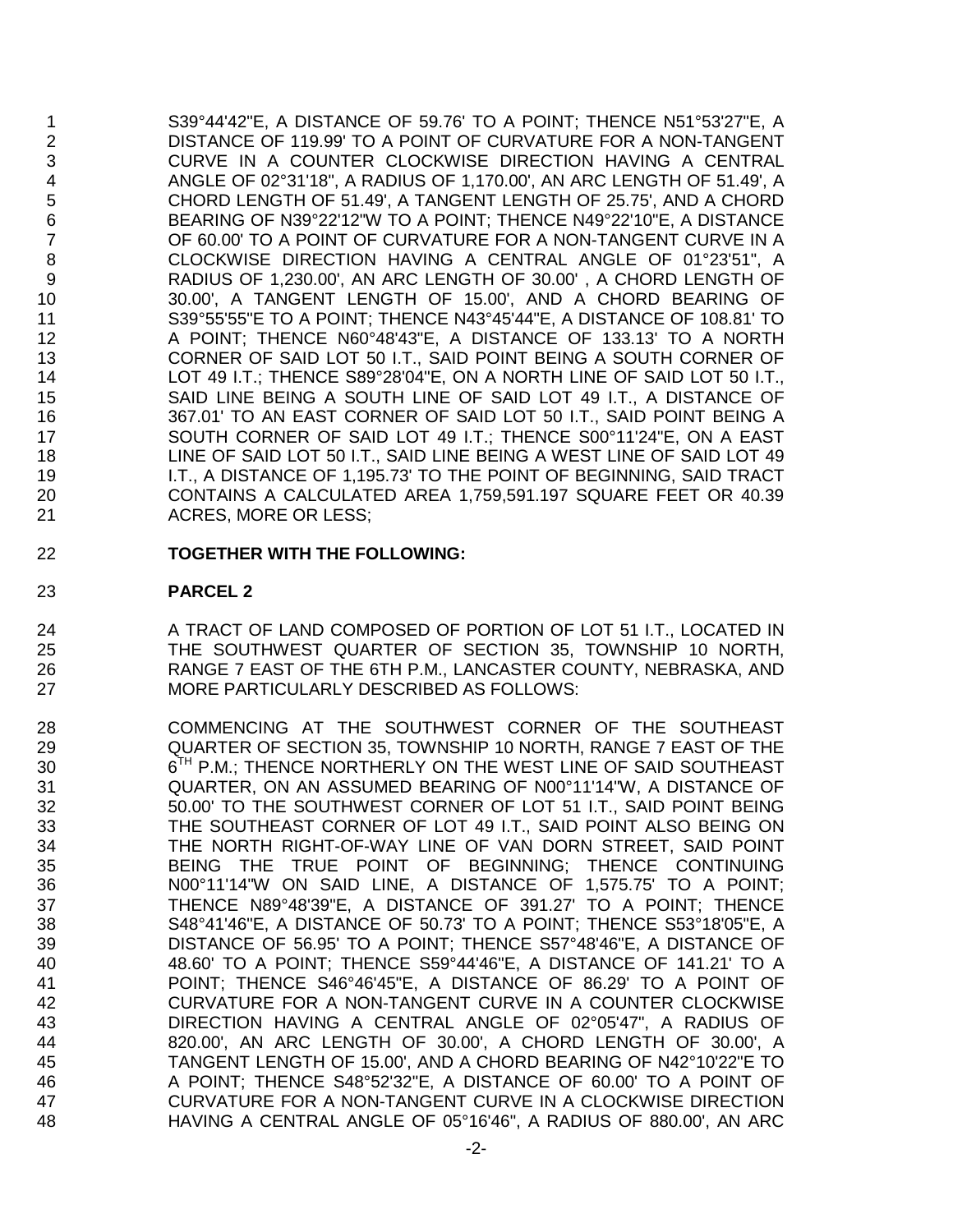S39°44'42"E, A DISTANCE OF 59.76' TO A POINT; THENCE N51°53'27"E, A DISTANCE OF 119.99' TO A POINT OF CURVATURE FOR A NON-TANGENT CURVE IN A COUNTER CLOCKWISE DIRECTION HAVING A CENTRAL ANGLE OF 02°31'18", A RADIUS OF 1,170.00', AN ARC LENGTH OF 51.49', A CHORD LENGTH OF 51.49', A TANGENT LENGTH OF 25.75', AND A CHORD BEARING OF N39°22'12"W TO A POINT; THENCE N49°22'10"E, A DISTANCE OF 60.00' TO A POINT OF CURVATURE FOR A NON-TANGENT CURVE IN A CLOCKWISE DIRECTION HAVING A CENTRAL ANGLE OF 01°23'51", A RADIUS OF 1,230.00', AN ARC LENGTH OF 30.00' , A CHORD LENGTH OF 30.00', A TANGENT LENGTH OF 15.00', AND A CHORD BEARING OF S39°55'55"E TO A POINT; THENCE N43°45'44"E, A DISTANCE OF 108.81' TO A POINT; THENCE N60°48'43"E, A DISTANCE OF 133.13' TO A NORTH CORNER OF SAID LOT 50 I.T., SAID POINT BEING A SOUTH CORNER OF LOT 49 I.T.; THENCE S89°28'04"E, ON A NORTH LINE OF SAID LOT 50 I.T., SAID LINE BEING A SOUTH LINE OF SAID LOT 49 I.T., A DISTANCE OF 367.01' TO AN EAST CORNER OF SAID LOT 50 I.T., SAID POINT BEING A SOUTH CORNER OF SAID LOT 49 I.T.; THENCE S00°11'24"E, ON A EAST LINE OF SAID LOT 50 I.T., SAID LINE BEING A WEST LINE OF SAID LOT 49 I.T., A DISTANCE OF 1,195.73' TO THE POINT OF BEGINNING, SAID TRACT CONTAINS A CALCULATED AREA 1,759,591.197 SQUARE FEET OR 40.39 21 ACRES, MORE OR LESS;

**TOGETHER WITH THE FOLLOWING:**

## **PARCEL 2**

24 A TRACT OF LAND COMPOSED OF PORTION OF LOT 51 I.T., LOCATED IN THE SOUTHWEST QUARTER OF SECTION 35, TOWNSHIP 10 NORTH, RANGE 7 EAST OF THE 6TH P.M., LANCASTER COUNTY, NEBRASKA, AND MORE PARTICULARLY DESCRIBED AS FOLLOWS:

 COMMENCING AT THE SOUTHWEST CORNER OF THE SOUTHEAST QUARTER OF SECTION 35, TOWNSHIP 10 NORTH, RANGE 7 EAST OF THE 30 6<sup>TH</sup> P.M.; THENCE NORTHERLY ON THE WEST LINE OF SAID SOUTHEAST QUARTER, ON AN ASSUMED BEARING OF N00°11'14"W, A DISTANCE OF 50.00' TO THE SOUTHWEST CORNER OF LOT 51 I.T., SAID POINT BEING THE SOUTHEAST CORNER OF LOT 49 I.T., SAID POINT ALSO BEING ON THE NORTH RIGHT-OF-WAY LINE OF VAN DORN STREET, SAID POINT BEING THE TRUE POINT OF BEGINNING; THENCE CONTINUING N00°11'14"W ON SAID LINE, A DISTANCE OF 1,575.75' TO A POINT; THENCE N89°48'39"E, A DISTANCE OF 391.27' TO A POINT; THENCE S48°41'46"E, A DISTANCE OF 50.73' TO A POINT; THENCE S53°18'05"E, A DISTANCE OF 56.95' TO A POINT; THENCE S57°48'46"E, A DISTANCE OF 48.60' TO A POINT; THENCE S59°44'46"E, A DISTANCE OF 141.21' TO A POINT; THENCE S46°46'45"E, A DISTANCE OF 86.29' TO A POINT OF CURVATURE FOR A NON-TANGENT CURVE IN A COUNTER CLOCKWISE DIRECTION HAVING A CENTRAL ANGLE OF 02°05'47", A RADIUS OF 820.00', AN ARC LENGTH OF 30.00', A CHORD LENGTH OF 30.00', A TANGENT LENGTH OF 15.00', AND A CHORD BEARING OF N42°10'22"E TO A POINT; THENCE S48°52'32"E, A DISTANCE OF 60.00' TO A POINT OF CURVATURE FOR A NON-TANGENT CURVE IN A CLOCKWISE DIRECTION HAVING A CENTRAL ANGLE OF 05°16'46", A RADIUS OF 880.00', AN ARC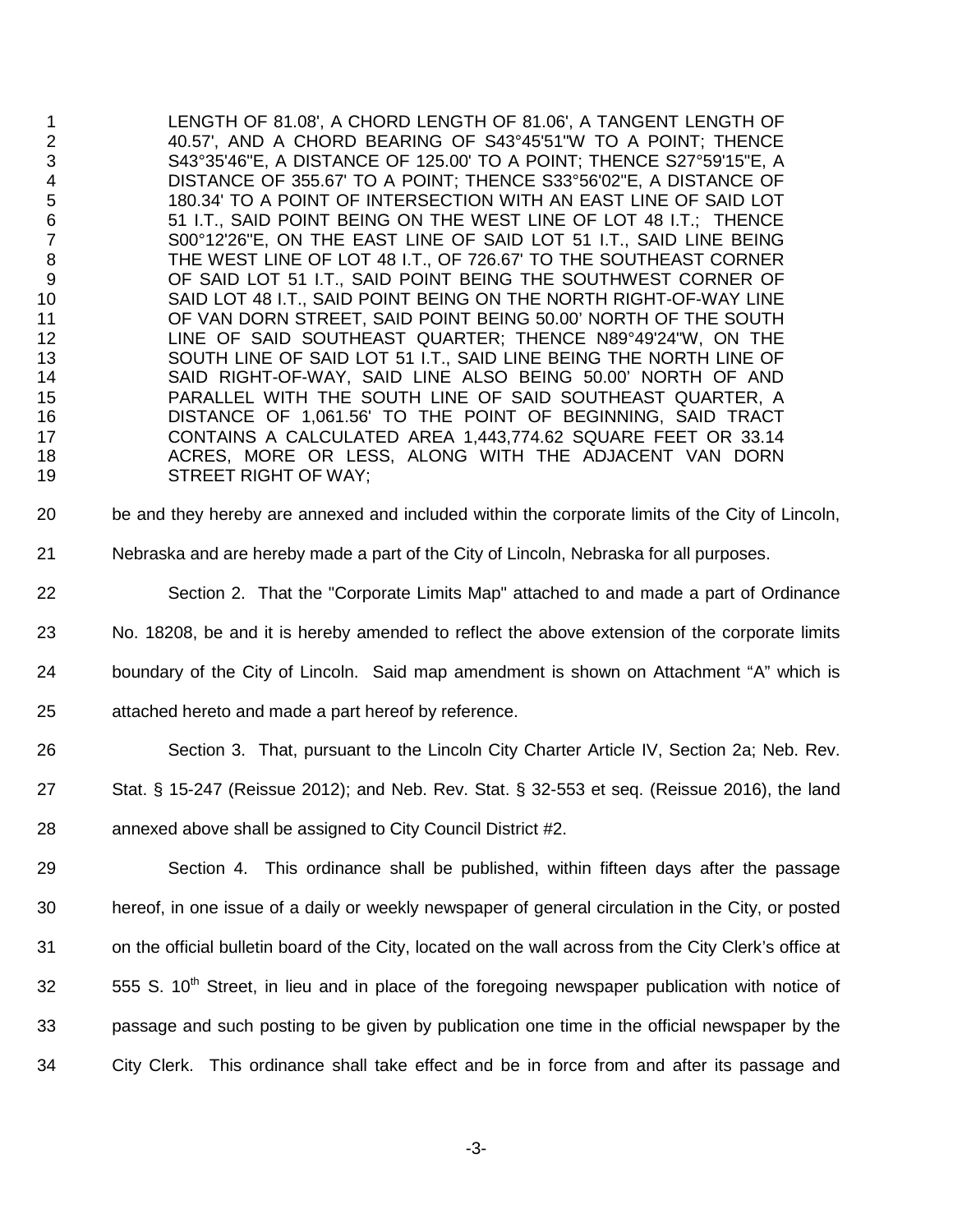1 LENGTH OF 81.08', A CHORD LENGTH OF 81.06', A TANGENT LENGTH OF 2<br>2 40.57', AND A CHORD BEARING OF S43°45'51"W TO A POINT: THENCE 40.57', AND A CHORD BEARING OF S43°45'51"W TO A POINT; THENCE S43°35'46"E, A DISTANCE OF 125.00' TO A POINT; THENCE S27°59'15"E, A DISTANCE OF 355.67' TO A POINT; THENCE S33°56'02"E, A DISTANCE OF 180.34' TO A POINT OF INTERSECTION WITH AN EAST LINE OF SAID LOT 6 51 I.T., SAID POINT BEING ON THE WEST LINE OF LOT 48 I.T.; THENCE 7<br>The Soo°12'26"E, ON THE EAST LINE OF SAID LOT 51 I.T., SAID LINE BEING S00°12'26"E, ON THE EAST LINE OF SAID LOT 51 I.T., SAID LINE BEING 8 THE WEST LINE OF LOT 48 I.T., OF 726.67' TO THE SOUTHEAST CORNER<br>9 OF SAID LOT 51 I.T.. SAID POINT BEING THE SOUTHWEST CORNER OF 9 OF SAID LOT 51 I.T., SAID POINT BEING THE SOUTHWEST CORNER OF SAID LOT 48 I.T., SAID POINT BEING ON THE NORTH RIGHT-OF-WAY LINE 10 SAID LOT 48 I.T., SAID POINT BEING ON THE NORTH RIGHT-OF-WAY LINE<br>11 OF VAN DORN STREET. SAID POINT BEING 50.00' NORTH OF THE SOUTH OF VAN DORN STREET, SAID POINT BEING 50.00' NORTH OF THE SOUTH LINE OF SAID SOUTHEAST QUARTER; THENCE N89°49'24"W, ON THE SOUTH LINE OF SAID LOT 51 I.T., SAID LINE BEING THE NORTH LINE OF SAID RIGHT-OF-WAY, SAID LINE ALSO BEING 50.00' NORTH OF AND PARALLEL WITH THE SOUTH LINE OF SAID SOUTHEAST QUARTER, A DISTANCE OF 1,061.56' TO THE POINT OF BEGINNING, SAID TRACT CONTAINS A CALCULATED AREA 1,443,774.62 SQUARE FEET OR 33.14 ACRES, MORE OR LESS, ALONG WITH THE ADJACENT VAN DORN STREET RIGHT OF WAY;

be and they hereby are annexed and included within the corporate limits of the City of Lincoln,

- Nebraska and are hereby made a part of the City of Lincoln, Nebraska for all purposes.
- Section 2. That the "Corporate Limits Map" attached to and made a part of Ordinance
- No. 18208, be and it is hereby amended to reflect the above extension of the corporate limits
- boundary of the City of Lincoln. Said map amendment is shown on Attachment "A" which is
- attached hereto and made a part hereof by reference.
- Section 3. That, pursuant to the Lincoln City Charter Article IV, Section 2a; Neb. Rev.
- Stat. § 15-247 (Reissue 2012); and Neb. Rev. Stat. § 32-553 et seq. (Reissue 2016), the land
- annexed above shall be assigned to City Council District #2.
- Section 4. This ordinance shall be published, within fifteen days after the passage hereof, in one issue of a daily or weekly newspaper of general circulation in the City, or posted on the official bulletin board of the City, located on the wall across from the City Clerk's office at 555 S. 10<sup>th</sup> Street, in lieu and in place of the foregoing newspaper publication with notice of passage and such posting to be given by publication one time in the official newspaper by the City Clerk. This ordinance shall take effect and be in force from and after its passage and